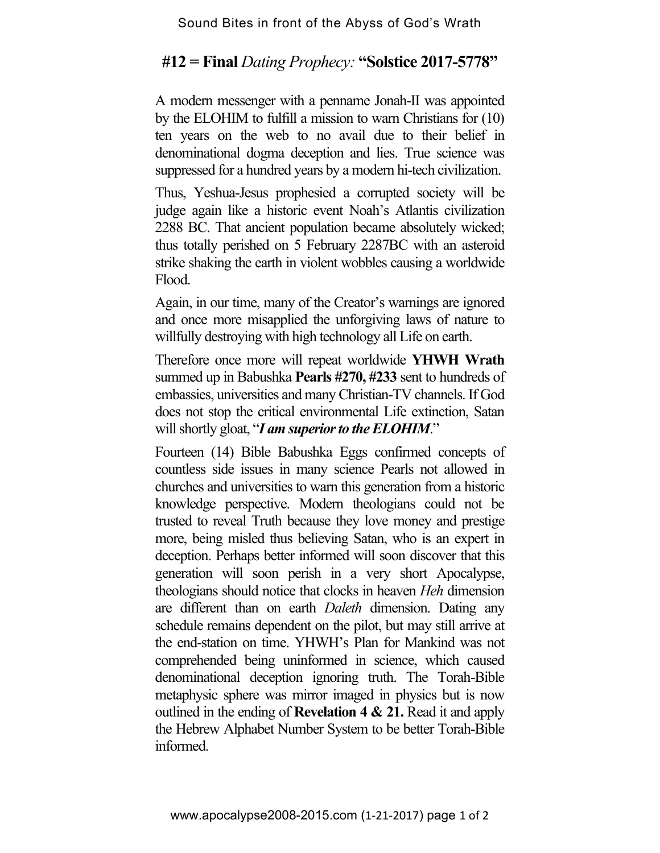## **#12 = Final** *Dating Prophecy:* **"Solstice 2017-5778"**

A modern messenger with a penname Jonah-II was appointed by the ELOHIM to fulfill a mission to warn Christians for (10) ten years on the web to no avail due to their belief in denominational dogma deception and lies. True science was suppressed for a hundred years by a modern hi-tech civilization.

Thus, Yeshua-Jesus prophesied a corrupted society will be judge again like a historic event Noah's Atlantis civilization 2288 BC. That ancient population became absolutely wicked; thus totally perished on 5 February 2287BC with an asteroid strike shaking the earth in violent wobbles causing a worldwide Flood.

Again, in our time, many of the Creator's warnings are ignored and once more misapplied the unforgiving laws of nature to willfully destroying with high technology all Life on earth.

Therefore once more will repeat worldwide **YHWH Wrath** summed up in Babushka **Pearls #270, #233** sent to hundreds of embassies, universities and many Christian-TV channels. If God does not stop the critical environmental Life extinction, Satan will shortly gloat, "*I am superior to the ELOHIM*."

Fourteen (14) Bible Babushka Eggs confirmed concepts of countless side issues in many science Pearls not allowed in churches and universities to warn this generation from a historic knowledge perspective. Modern theologians could not be trusted to reveal Truth because they love money and prestige more, being misled thus believing Satan, who is an expert in deception. Perhaps better informed will soon discover that this generation will soon perish in a very short Apocalypse, theologians should notice that clocks in heaven *Heh* dimension are different than on earth *Daleth* dimension. Dating any schedule remains dependent on the pilot, but may still arrive at the end-station on time. YHWH's Plan for Mankind was not comprehended being uninformed in science, which caused denominational deception ignoring truth. The Torah-Bible metaphysic sphere was mirror imaged in physics but is now outlined in the ending of **Revelation 4 & 21.** Read it and apply the Hebrew Alphabet Number System to be better Torah-Bible informed.